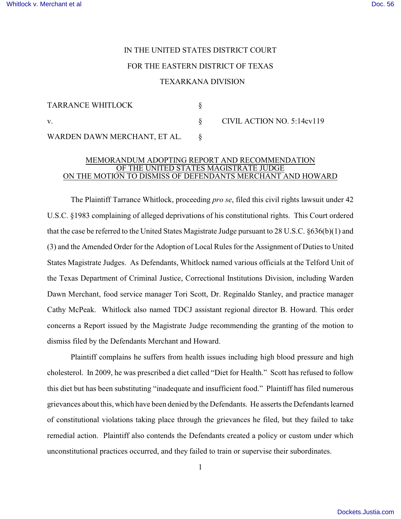## IN THE UNITED STATES DISTRICT COURT FOR THE EASTERN DISTRICT OF TEXAS TEXARKANA DIVISION

| TARRANCE WHITLOCK            |                            |
|------------------------------|----------------------------|
| V.                           | CIVIL ACTION NO. 5:14cv119 |
| WARDEN DAWN MERCHANT, ET AL. |                            |

## MEMORANDUM ADOPTING REPORT AND RECOMMENDATION OF THE UNITED STATES MAGISTRATE JUDGE ON THE MOTION TO DISMISS OF DEFENDANTS MERCHANT AND HOWARD

The Plaintiff Tarrance Whitlock, proceeding *pro se*, filed this civil rights lawsuit under 42 U.S.C. §1983 complaining of alleged deprivations of his constitutional rights. This Court ordered that the case be referred to the United States Magistrate Judge pursuant to 28 U.S.C. §636(b)(1) and (3) and the Amended Order for the Adoption of Local Rules for the Assignment of Duties to United States Magistrate Judges. As Defendants, Whitlock named various officials at the Telford Unit of the Texas Department of Criminal Justice, Correctional Institutions Division, including Warden Dawn Merchant, food service manager Tori Scott, Dr. Reginaldo Stanley, and practice manager Cathy McPeak. Whitlock also named TDCJ assistant regional director B. Howard. This order concerns a Report issued by the Magistrate Judge recommending the granting of the motion to dismiss filed by the Defendants Merchant and Howard.

Plaintiff complains he suffers from health issues including high blood pressure and high cholesterol. In 2009, he was prescribed a diet called "Diet for Health." Scott has refused to follow this diet but has been substituting "inadequate and insufficient food." Plaintiff has filed numerous grievances about this, which have been denied by the Defendants. He asserts the Defendants learned of constitutional violations taking place through the grievances he filed, but they failed to take remedial action. Plaintiff also contends the Defendants created a policy or custom under which unconstitutional practices occurred, and they failed to train or supervise their subordinates.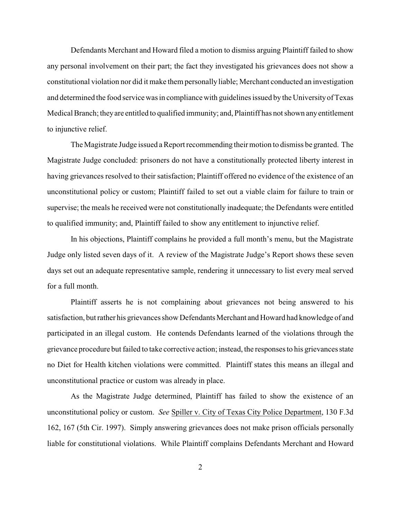Defendants Merchant and Howard filed a motion to dismiss arguing Plaintiff failed to show any personal involvement on their part; the fact they investigated his grievances does not show a constitutional violation nor did it make them personally liable; Merchant conducted an investigation and determined the food service was in compliance with guidelines issued by the University of Texas Medical Branch; they are entitled to qualified immunity; and, Plaintiff has not shown any entitlement to injunctive relief.

The Magistrate Judge issued a Report recommending their motion to dismiss be granted. The Magistrate Judge concluded: prisoners do not have a constitutionally protected liberty interest in having grievances resolved to their satisfaction; Plaintiff offered no evidence of the existence of an unconstitutional policy or custom; Plaintiff failed to set out a viable claim for failure to train or supervise; the meals he received were not constitutionally inadequate; the Defendants were entitled to qualified immunity; and, Plaintiff failed to show any entitlement to injunctive relief.

In his objections, Plaintiff complains he provided a full month's menu, but the Magistrate Judge only listed seven days of it. A review of the Magistrate Judge's Report shows these seven days set out an adequate representative sample, rendering it unnecessary to list every meal served for a full month.

Plaintiff asserts he is not complaining about grievances not being answered to his satisfaction, but rather his grievances show Defendants Merchant and Howard had knowledge of and participated in an illegal custom. He contends Defendants learned of the violations through the grievance procedure but failed to take corrective action; instead, the responses to his grievances state no Diet for Health kitchen violations were committed. Plaintiff states this means an illegal and unconstitutional practice or custom was already in place.

As the Magistrate Judge determined, Plaintiff has failed to show the existence of an unconstitutional policy or custom. *See* Spiller v. City of Texas City Police Department, 130 F.3d 162, 167 (5th Cir. 1997). Simply answering grievances does not make prison officials personally liable for constitutional violations. While Plaintiff complains Defendants Merchant and Howard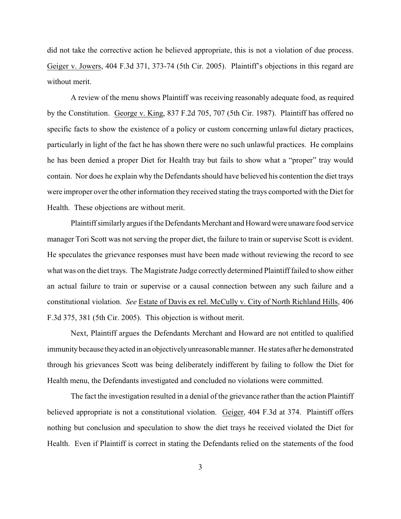did not take the corrective action he believed appropriate, this is not a violation of due process. Geiger v. Jowers, 404 F.3d 371, 373-74 (5th Cir. 2005). Plaintiff's objections in this regard are without merit.

A review of the menu shows Plaintiff was receiving reasonably adequate food, as required by the Constitution. George v. King, 837 F.2d 705, 707 (5th Cir. 1987). Plaintiff has offered no specific facts to show the existence of a policy or custom concerning unlawful dietary practices, particularly in light of the fact he has shown there were no such unlawful practices. He complains he has been denied a proper Diet for Health tray but fails to show what a "proper" tray would contain. Nor does he explain why the Defendants should have believed his contention the diet trays were improper over the other information they received stating the trays comported with the Diet for Health. These objections are without merit.

Plaintiff similarly argues if the Defendants Merchant and Howard were unaware food service manager Tori Scott was not serving the proper diet, the failure to train or supervise Scott is evident. He speculates the grievance responses must have been made without reviewing the record to see what was on the diet trays. The Magistrate Judge correctly determined Plaintiff failed to show either an actual failure to train or supervise or a causal connection between any such failure and a constitutional violation. *See* Estate of Davis ex rel. McCully v. City of North Richland Hills, 406 F.3d 375, 381 (5th Cir. 2005). This objection is without merit.

Next, Plaintiff argues the Defendants Merchant and Howard are not entitled to qualified immunity because they acted in an objectively unreasonable manner. He states after he demonstrated through his grievances Scott was being deliberately indifferent by failing to follow the Diet for Health menu, the Defendants investigated and concluded no violations were committed.

The fact the investigation resulted in a denial of the grievance rather than the action Plaintiff believed appropriate is not a constitutional violation. Geiger, 404 F.3d at 374. Plaintiff offers nothing but conclusion and speculation to show the diet trays he received violated the Diet for Health. Even if Plaintiff is correct in stating the Defendants relied on the statements of the food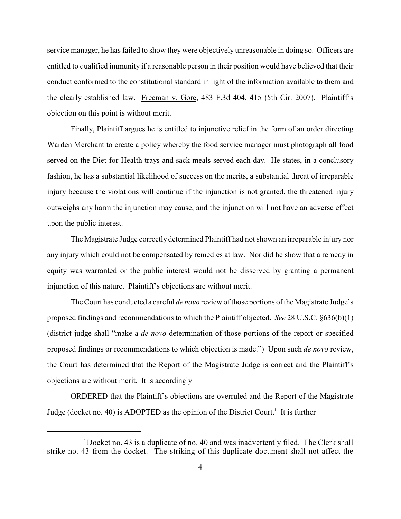service manager, he has failed to show they were objectively unreasonable in doing so. Officers are entitled to qualified immunity if a reasonable person in their position would have believed that their conduct conformed to the constitutional standard in light of the information available to them and the clearly established law. Freeman v. Gore, 483 F.3d 404, 415 (5th Cir. 2007). Plaintiff's objection on this point is without merit.

Finally, Plaintiff argues he is entitled to injunctive relief in the form of an order directing Warden Merchant to create a policy whereby the food service manager must photograph all food served on the Diet for Health trays and sack meals served each day. He states, in a conclusory fashion, he has a substantial likelihood of success on the merits, a substantial threat of irreparable injury because the violations will continue if the injunction is not granted, the threatened injury outweighs any harm the injunction may cause, and the injunction will not have an adverse effect upon the public interest.

The Magistrate Judge correctly determined Plaintiff had not shown an irreparable injury nor any injury which could not be compensated by remedies at law. Nor did he show that a remedy in equity was warranted or the public interest would not be disserved by granting a permanent injunction of this nature. Plaintiff's objections are without merit.

The Court has conducted a careful *de novo* review of those portions of the Magistrate Judge's proposed findings and recommendations to which the Plaintiff objected. *See* 28 U.S.C. §636(b)(1) (district judge shall "make a *de novo* determination of those portions of the report or specified proposed findings or recommendations to which objection is made.") Upon such *de novo* review, the Court has determined that the Report of the Magistrate Judge is correct and the Plaintiff's objections are without merit. It is accordingly

ORDERED that the Plaintiff's objections are overruled and the Report of the Magistrate Judge (docket no. 40) is ADOPTED as the opinion of the District Court.<sup>1</sup> It is further

<sup>&</sup>lt;sup>1</sup>Docket no. 43 is a duplicate of no. 40 and was inadvertently filed. The Clerk shall strike no. 43 from the docket. The striking of this duplicate document shall not affect the